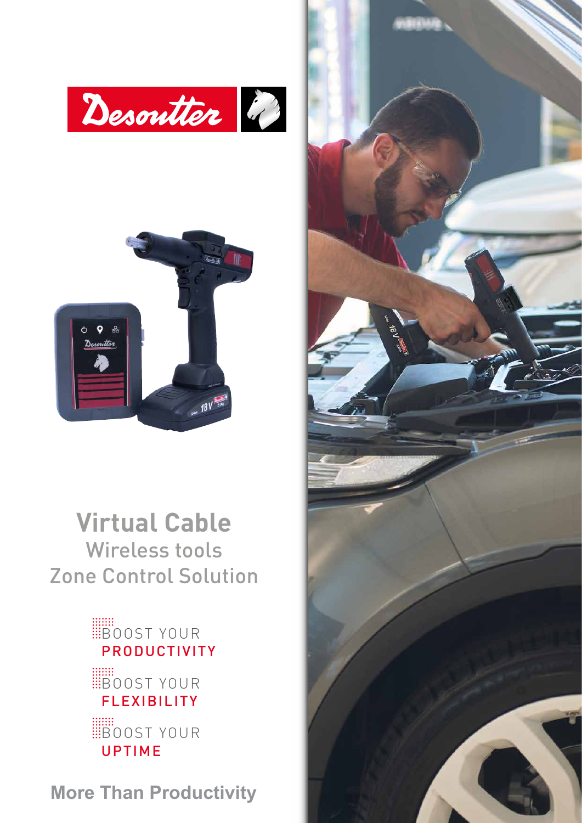



## **Virtual Cable** Wireless tools Zone Control Solution

### **BOOST YOUR** PRODUCTIVITY

**BOOST YOUR** FLEXIBILITY **BOOST YOUR** UPTIME

**More Than Productivity**

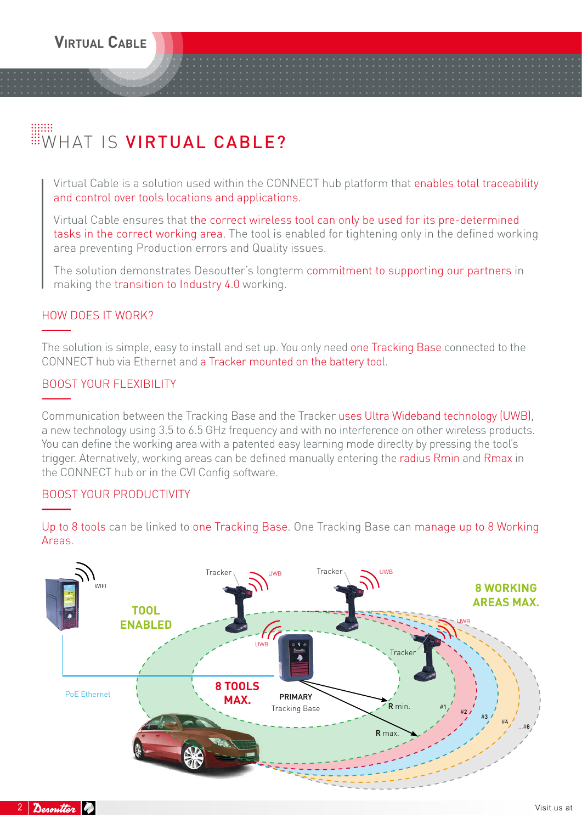# WHAT IS VIRTUAL CABLE?

Virtual Cable is a solution used within the CONNECT hub platform that enables total traceability and control over tools locations and applications.

Virtual Cable ensures that the correct wireless tool can only be used for its pre-determined tasks in the correct working area. The tool is enabled for tightening only in the defined working area preventing Production errors and Quality issues.

The solution demonstrates Desoutter's longterm commitment to supporting our partners in making the transition to Industry 4.0 working.

#### HOW DOES IT WORK?

The solution is simple, easy to install and set up. You only need one Tracking Base connected to the CONNECT hub via Ethernet and a Tracker mounted on the battery tool.

#### BOOST YOUR FLEXIBILITY

Communication between the Tracking Base and the Tracker uses Ultra Wideband technology (UWB), a new technology using 3.5 to 6.5 GHz frequency and with no interference on other wireless products. You can define the working area with a patented easy learning mode direclty by pressing the tool's trigger. Aternatively, working areas can be defined manually entering the radius Rmin and Rmax in the CONNECT hub or in the CVI Config software.

#### BOOST YOUR PRODUCTIVITY

UWB WIFI UWB UWB UWB #<sup>1</sup> #<sup>2</sup> #<sup>3</sup> #<sup>4</sup> ...#<sup>8</sup> PRIMARY Tracking Base R min. R max. PoE Ethernet  $Trace<sub>1</sub>$  Tracker Tracke Tracker **TOOL ENABLED 8 WORKING AREAS MAX. 8 TOOLS MAX.**

Up to 8 tools can be linked to one Tracking Base. One Tracking Base can manage up to 8 Working Areas.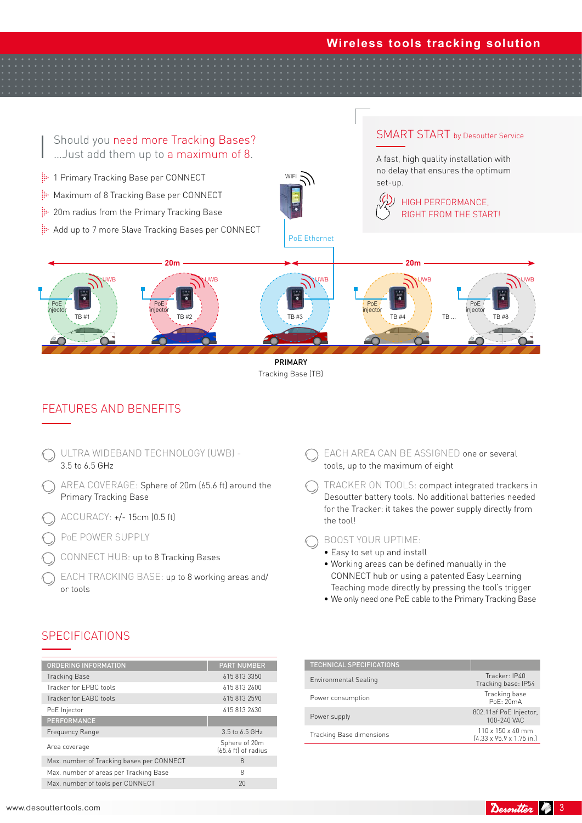#### **Wireless tools tracking solution**



Tracking Base (TB)

#### FEATURES AND BENEFITS

- ULTRA WIDEBAND TECHNOLOGY (UWB) 3.5 to 6.5 GHz EACH AREA CAN BE ASSIGNED one or several tools, up to the maximum of eight the tool! BOOST YOUR UPTIME: • Easy to set up and install • Working areas can be defined manually in the AREA COVERAGE: Sphere of 20m (65.6 ft) around the Primary Tracking Base ACCURACY: +/- 15cm (0.5 ft) PoE POWER SUPPLY CONNECT HUB: up to 8 Tracking Bases EACH TRACKING BASE: up to 8 working areas and/ or tools
	- TRACKER ON TOOLS: compact integrated trackers in
	- Desoutter battery tools. No additional batteries needed for the Tracker: it takes the power supply directly from
		- CONNECT hub or using a patented Easy Learning Teaching mode directly by pressing the tool's trigger
		- We only need one PoE cable to the Primary Tracking Base

#### **SPECIFICATIONS**

| <b>ORDERING INFORMATION</b>               | <b>PART NUMBER</b>                             |
|-------------------------------------------|------------------------------------------------|
| <b>Tracking Base</b>                      | 615 813 3350                                   |
| Tracker for FPBC tools                    | 615 813 2600                                   |
| Tracker for FABC tools                    | 615 813 2590                                   |
| PoE Injector                              | 6158132630                                     |
| <b>PERFORMANCE</b>                        |                                                |
| Frequency Range                           | 3.5 to 6.5 GHz                                 |
| Area coverage                             | Sphere of 20m<br>$(65.6 \text{ ft})$ of radius |
| Max. number of Tracking bases per CONNECT | 8                                              |
| Max. number of areas per Tracking Base    | 8                                              |
| Max. number of tools per CONNECT          | 20                                             |
|                                           |                                                |

| <b>TECHNICAL SPECIFICATIONS</b> |                                                                      |
|---------------------------------|----------------------------------------------------------------------|
| <b>Environmental Sealing</b>    | Tracker: IP40<br>Tracking base: IP54                                 |
| Power consumption               | Tracking base<br>PoF.20mA                                            |
| Power supply                    | 802.11af PoE Injector,<br>100-240 VAC                                |
| Tracking Base dimensions        | $110 \times 150 \times 40$ mm<br>$[4.33 \times 95.9 \times 1.75$ in. |